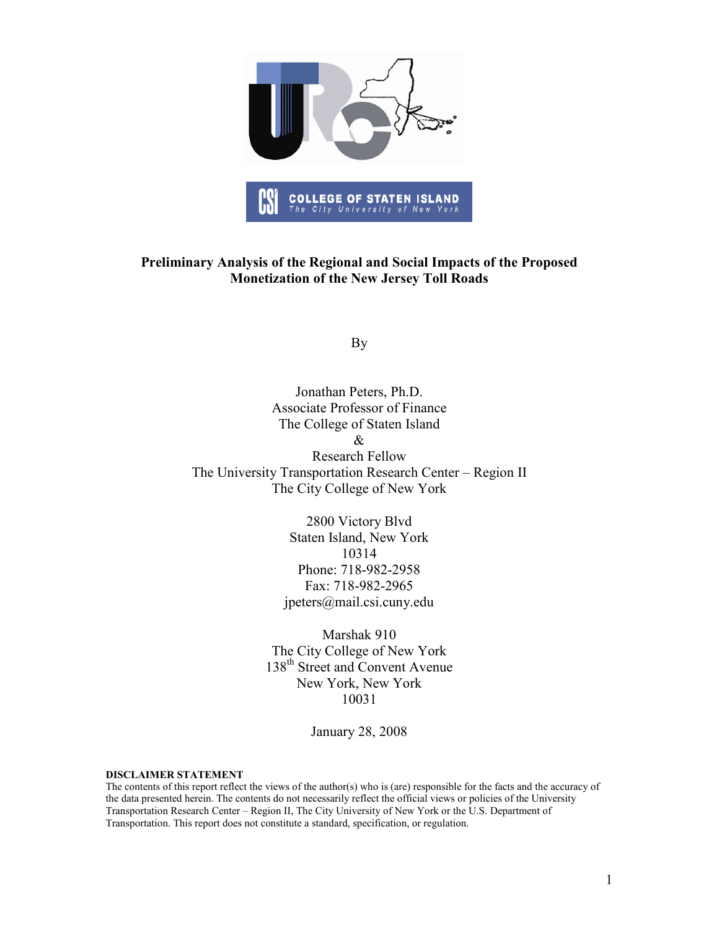

#### Preliminary Analysis of the Regional and Social Impacts of the Proposed Monetization of the New Jersey Toll Roads

By

Jonathan Peters, Ph.D. Associate Professor of Finance The College of Staten Island & Research Fellow The University Transportation Research Center – Region II The City College of New York

> 2800 Victory Blvd Staten Island, New York 10314 Phone: 718-982-2958 Fax: 718-982-2965 jpeters@mail.csi.cuny.edu

Marshak 910 The City College of New York 138<sup>th</sup> Street and Convent Avenue New York, New York 10031

January 28, 2008

DISCLAIMER STATEMENT

The contents of this report reflect the views of the author(s) who is (are) responsible for the facts and the accuracy of the data presented herein. The contents do not necessarily reflect the official views or policies of the University Transportation Research Center – Region II, The City University of New York or the U.S. Department of Transportation. This report does not constitute a standard, specification, or regulation.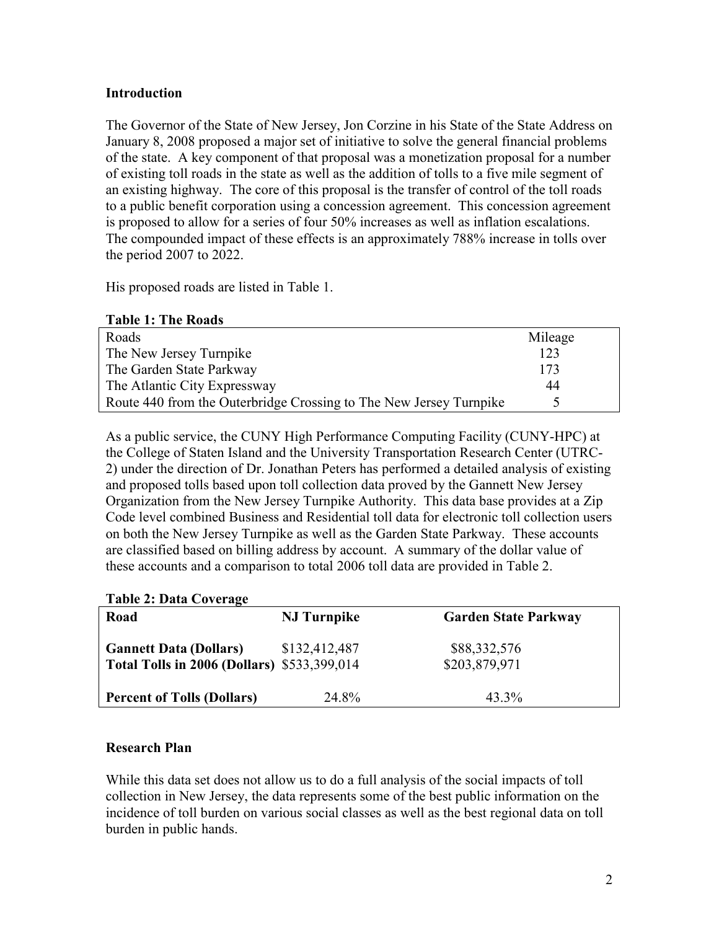## Introduction

The Governor of the State of New Jersey, Jon Corzine in his State of the State Address on January 8, 2008 proposed a major set of initiative to solve the general financial problems of the state. A key component of that proposal was a monetization proposal for a number of existing toll roads in the state as well as the addition of tolls to a five mile segment of an existing highway. The core of this proposal is the transfer of control of the toll roads to a public benefit corporation using a concession agreement. This concession agreement is proposed to allow for a series of four 50% increases as well as inflation escalations. The compounded impact of these effects is an approximately 788% increase in tolls over the period 2007 to 2022.

His proposed roads are listed in Table 1.

| Roads                                                              | Mileage |
|--------------------------------------------------------------------|---------|
| The New Jersey Turnpike                                            | 123     |
| The Garden State Parkway                                           | 173     |
| The Atlantic City Expressway                                       | 44      |
| Route 440 from the Outerbridge Crossing to The New Jersey Turnpike |         |

As a public service, the CUNY High Performance Computing Facility (CUNY-HPC) at the College of Staten Island and the University Transportation Research Center (UTRC-2) under the direction of Dr. Jonathan Peters has performed a detailed analysis of existing and proposed tolls based upon toll collection data proved by the Gannett New Jersey Organization from the New Jersey Turnpike Authority. This data base provides at a Zip Code level combined Business and Residential toll data for electronic toll collection users on both the New Jersey Turnpike as well as the Garden State Parkway. These accounts are classified based on billing address by account. A summary of the dollar value of these accounts and a comparison to total 2006 toll data are provided in Table 2.

#### Table 2: Data Coverage

| $10010 = 10000$                                                                     |                     |                               |  |
|-------------------------------------------------------------------------------------|---------------------|-------------------------------|--|
| Road                                                                                | <b>NJ</b> Turnpike  | <b>Garden State Parkway</b>   |  |
| <b>Gannett Data (Dollars)</b><br><b>Total Tolls in 2006 (Dollars)</b> \$533,399,014 | \$132,412,487       | \$88,332,576<br>\$203,879,971 |  |
| <b>Percent of Tolls (Dollars)</b>                                                   | 24 8 <sup>o</sup> % | 43.3%                         |  |

#### Research Plan

While this data set does not allow us to do a full analysis of the social impacts of toll collection in New Jersey, the data represents some of the best public information on the incidence of toll burden on various social classes as well as the best regional data on toll burden in public hands.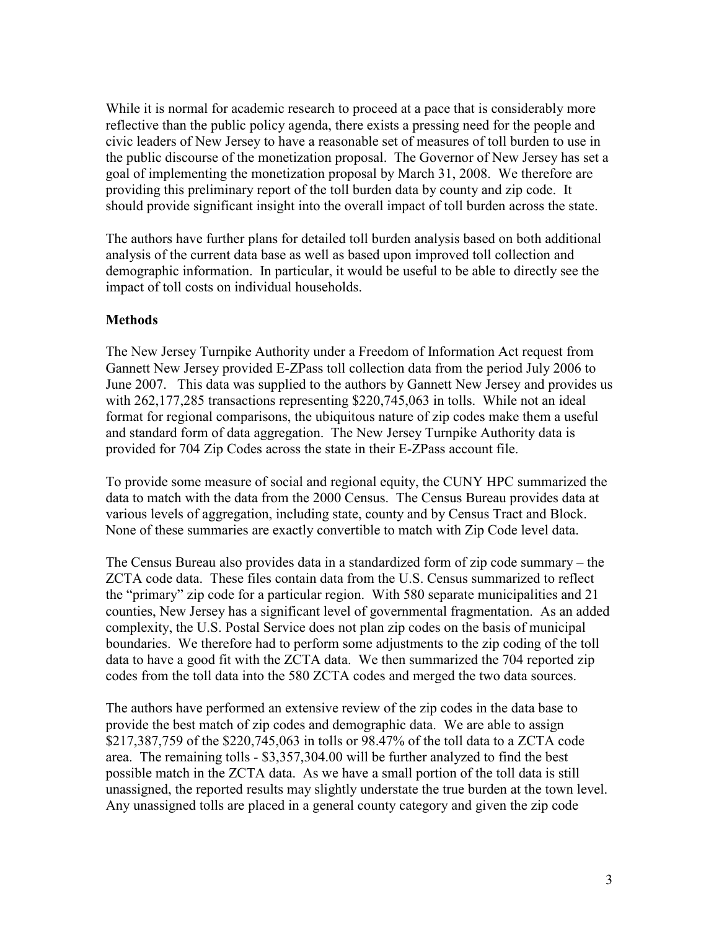While it is normal for academic research to proceed at a pace that is considerably more reflective than the public policy agenda, there exists a pressing need for the people and civic leaders of New Jersey to have a reasonable set of measures of toll burden to use in the public discourse of the monetization proposal. The Governor of New Jersey has set a goal of implementing the monetization proposal by March 31, 2008. We therefore are providing this preliminary report of the toll burden data by county and zip code. It should provide significant insight into the overall impact of toll burden across the state.

The authors have further plans for detailed toll burden analysis based on both additional analysis of the current data base as well as based upon improved toll collection and demographic information. In particular, it would be useful to be able to directly see the impact of toll costs on individual households.

# **Methods**

The New Jersey Turnpike Authority under a Freedom of Information Act request from Gannett New Jersey provided E-ZPass toll collection data from the period July 2006 to June 2007. This data was supplied to the authors by Gannett New Jersey and provides us with 262,177,285 transactions representing \$220,745,063 in tolls. While not an ideal format for regional comparisons, the ubiquitous nature of zip codes make them a useful and standard form of data aggregation. The New Jersey Turnpike Authority data is provided for 704 Zip Codes across the state in their E-ZPass account file.

To provide some measure of social and regional equity, the CUNY HPC summarized the data to match with the data from the 2000 Census. The Census Bureau provides data at various levels of aggregation, including state, county and by Census Tract and Block. None of these summaries are exactly convertible to match with Zip Code level data.

The Census Bureau also provides data in a standardized form of zip code summary – the ZCTA code data. These files contain data from the U.S. Census summarized to reflect the "primary" zip code for a particular region. With 580 separate municipalities and 21 counties, New Jersey has a significant level of governmental fragmentation. As an added complexity, the U.S. Postal Service does not plan zip codes on the basis of municipal boundaries. We therefore had to perform some adjustments to the zip coding of the toll data to have a good fit with the ZCTA data. We then summarized the 704 reported zip codes from the toll data into the 580 ZCTA codes and merged the two data sources.

The authors have performed an extensive review of the zip codes in the data base to provide the best match of zip codes and demographic data. We are able to assign \$217,387,759 of the \$220,745,063 in tolls or 98.47% of the toll data to a ZCTA code area. The remaining tolls - \$3,357,304.00 will be further analyzed to find the best possible match in the ZCTA data. As we have a small portion of the toll data is still unassigned, the reported results may slightly understate the true burden at the town level. Any unassigned tolls are placed in a general county category and given the zip code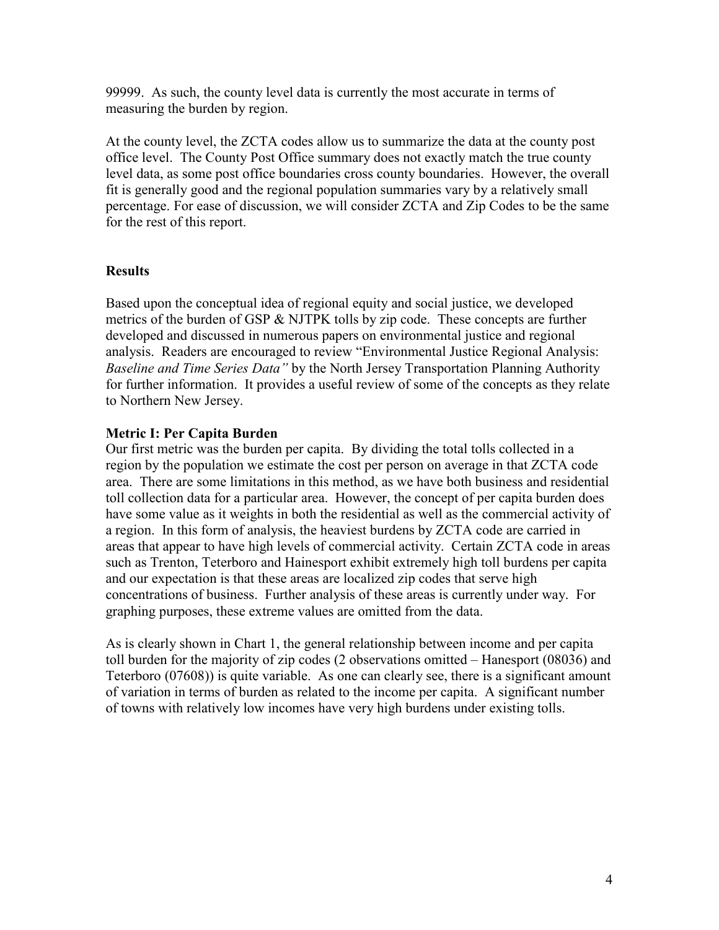99999. As such, the county level data is currently the most accurate in terms of measuring the burden by region.

At the county level, the ZCTA codes allow us to summarize the data at the county post office level. The County Post Office summary does not exactly match the true county level data, as some post office boundaries cross county boundaries. However, the overall fit is generally good and the regional population summaries vary by a relatively small percentage. For ease of discussion, we will consider ZCTA and Zip Codes to be the same for the rest of this report.

# **Results**

Based upon the conceptual idea of regional equity and social justice, we developed metrics of the burden of GSP & NJTPK tolls by zip code. These concepts are further developed and discussed in numerous papers on environmental justice and regional analysis. Readers are encouraged to review "Environmental Justice Regional Analysis: Baseline and Time Series Data" by the North Jersey Transportation Planning Authority for further information. It provides a useful review of some of the concepts as they relate to Northern New Jersey.

# Metric I: Per Capita Burden

Our first metric was the burden per capita. By dividing the total tolls collected in a region by the population we estimate the cost per person on average in that ZCTA code area. There are some limitations in this method, as we have both business and residential toll collection data for a particular area. However, the concept of per capita burden does have some value as it weights in both the residential as well as the commercial activity of a region. In this form of analysis, the heaviest burdens by ZCTA code are carried in areas that appear to have high levels of commercial activity. Certain ZCTA code in areas such as Trenton, Teterboro and Hainesport exhibit extremely high toll burdens per capita and our expectation is that these areas are localized zip codes that serve high concentrations of business. Further analysis of these areas is currently under way. For graphing purposes, these extreme values are omitted from the data.

As is clearly shown in Chart 1, the general relationship between income and per capita toll burden for the majority of zip codes (2 observations omitted – Hanesport (08036) and Teterboro (07608)) is quite variable. As one can clearly see, there is a significant amount of variation in terms of burden as related to the income per capita. A significant number of towns with relatively low incomes have very high burdens under existing tolls.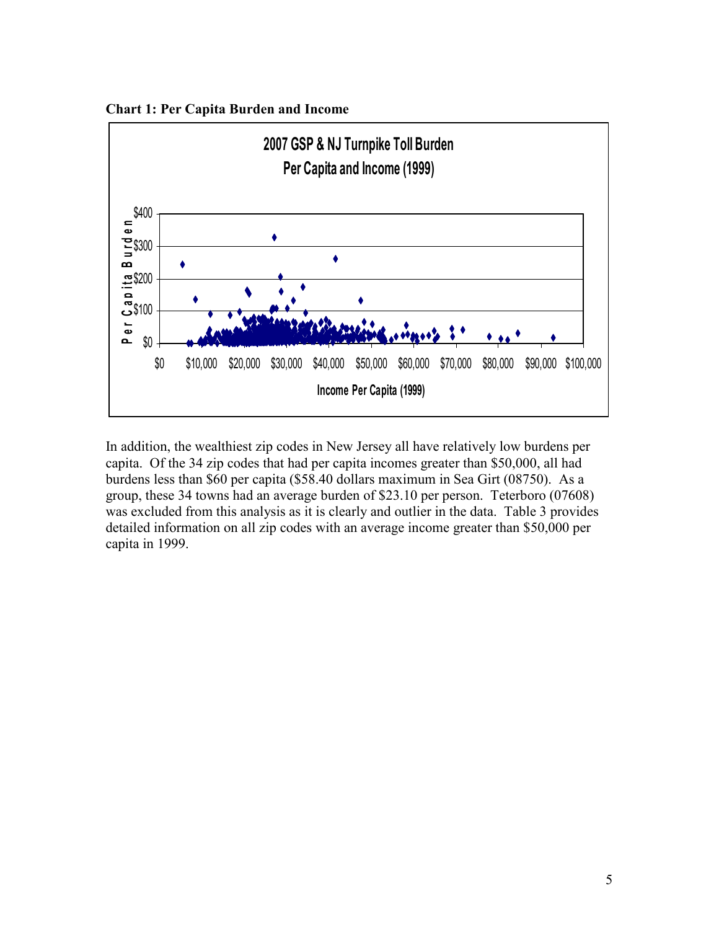



In addition, the wealthiest zip codes in New Jersey all have relatively low burdens per capita. Of the 34 zip codes that had per capita incomes greater than \$50,000, all had burdens less than \$60 per capita (\$58.40 dollars maximum in Sea Girt (08750). As a group, these 34 towns had an average burden of \$23.10 per person. Teterboro (07608) was excluded from this analysis as it is clearly and outlier in the data. Table 3 provides detailed information on all zip codes with an average income greater than \$50,000 per capita in 1999.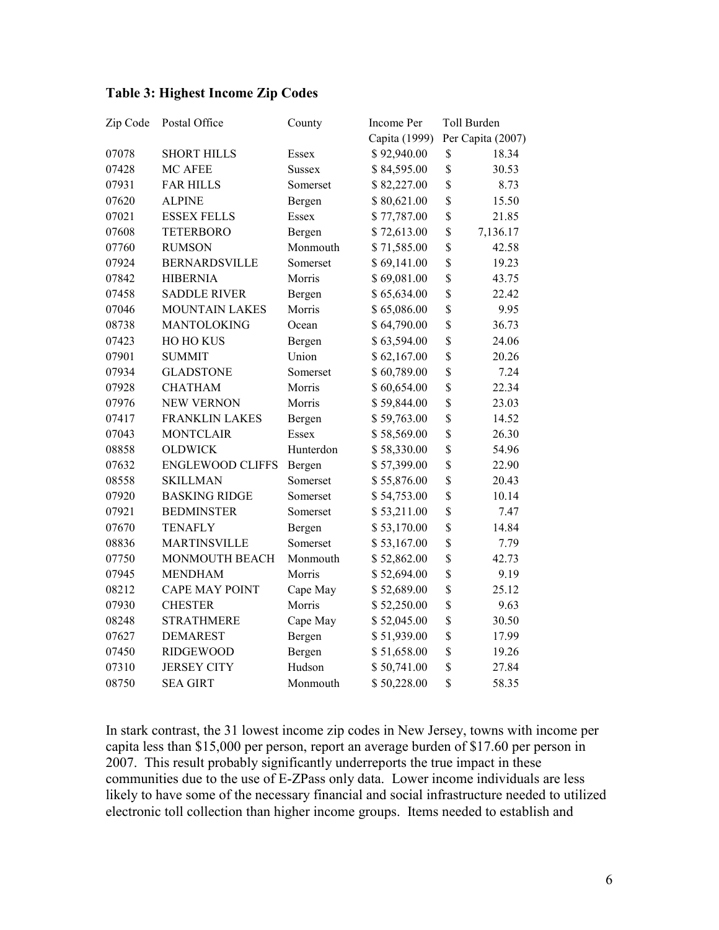# Table 3: Highest Income Zip Codes

| Zip Code | Postal Office           | County        | Income Per    | Toll Burden       |
|----------|-------------------------|---------------|---------------|-------------------|
|          |                         |               | Capita (1999) | Per Capita (2007) |
| 07078    | <b>SHORT HILLS</b>      | Essex         | \$92,940.00   | \$<br>18.34       |
| 07428    | MC AFEE                 | <b>Sussex</b> | \$84,595.00   | \$<br>30.53       |
| 07931    | <b>FAR HILLS</b>        | Somerset      | \$82,227.00   | \$<br>8.73        |
| 07620    | <b>ALPINE</b>           | Bergen        | \$80,621.00   | \$<br>15.50       |
| 07021    | <b>ESSEX FELLS</b>      | Essex         | \$77,787.00   | \$<br>21.85       |
| 07608    | <b>TETERBORO</b>        | Bergen        | \$72,613.00   | \$<br>7,136.17    |
| 07760    | <b>RUMSON</b>           | Monmouth      | \$71,585.00   | \$<br>42.58       |
| 07924    | <b>BERNARDSVILLE</b>    | Somerset      | \$69,141.00   | \$<br>19.23       |
| 07842    | <b>HIBERNIA</b>         | Morris        | \$69,081.00   | \$<br>43.75       |
| 07458    | <b>SADDLE RIVER</b>     | Bergen        | \$65,634.00   | \$<br>22.42       |
| 07046    | <b>MOUNTAIN LAKES</b>   | Morris        | \$65,086.00   | \$<br>9.95        |
| 08738    | MANTOLOKING             | Ocean         | \$64,790.00   | \$<br>36.73       |
| 07423    | HO HO KUS               | Bergen        | \$63,594.00   | \$<br>24.06       |
| 07901    | <b>SUMMIT</b>           | Union         | \$62,167.00   | \$<br>20.26       |
| 07934    | <b>GLADSTONE</b>        | Somerset      | \$60,789.00   | \$<br>7.24        |
| 07928    | <b>CHATHAM</b>          | Morris        | \$60,654.00   | \$<br>22.34       |
| 07976    | <b>NEW VERNON</b>       | Morris        | \$59,844.00   | \$<br>23.03       |
| 07417    | <b>FRANKLIN LAKES</b>   | Bergen        | \$59,763.00   | \$<br>14.52       |
| 07043    | <b>MONTCLAIR</b>        | Essex         | \$58,569.00   | \$<br>26.30       |
| 08858    | <b>OLDWICK</b>          | Hunterdon     | \$58,330.00   | \$<br>54.96       |
| 07632    | <b>ENGLEWOOD CLIFFS</b> | Bergen        | \$57,399.00   | \$<br>22.90       |
| 08558    | <b>SKILLMAN</b>         | Somerset      | \$55,876.00   | \$<br>20.43       |
| 07920    | <b>BASKING RIDGE</b>    | Somerset      | \$54,753.00   | \$<br>10.14       |
| 07921    | <b>BEDMINSTER</b>       | Somerset      | \$53,211.00   | \$<br>7.47        |
| 07670    | <b>TENAFLY</b>          | Bergen        | \$53,170.00   | \$<br>14.84       |
| 08836    | <b>MARTINSVILLE</b>     | Somerset      | \$53,167.00   | \$<br>7.79        |
| 07750    | MONMOUTH BEACH          | Monmouth      | \$52,862.00   | \$<br>42.73       |
| 07945    | <b>MENDHAM</b>          | Morris        | \$52,694.00   | \$<br>9.19        |
| 08212    | <b>CAPE MAY POINT</b>   | Cape May      | \$52,689.00   | \$<br>25.12       |
| 07930    | <b>CHESTER</b>          | Morris        | \$52,250.00   | \$<br>9.63        |
| 08248    | <b>STRATHMERE</b>       | Cape May      | \$52,045.00   | \$<br>30.50       |
| 07627    | <b>DEMAREST</b>         | Bergen        | \$51,939.00   | \$<br>17.99       |
| 07450    | <b>RIDGEWOOD</b>        | Bergen        | \$51,658.00   | \$<br>19.26       |
| 07310    | <b>JERSEY CITY</b>      | Hudson        | \$50,741.00   | \$<br>27.84       |
| 08750    | <b>SEA GIRT</b>         | Monmouth      | \$50,228.00   | \$<br>58.35       |

In stark contrast, the 31 lowest income zip codes in New Jersey, towns with income per capita less than \$15,000 per person, report an average burden of \$17.60 per person in 2007. This result probably significantly underreports the true impact in these communities due to the use of E-ZPass only data. Lower income individuals are less likely to have some of the necessary financial and social infrastructure needed to utilized electronic toll collection than higher income groups. Items needed to establish and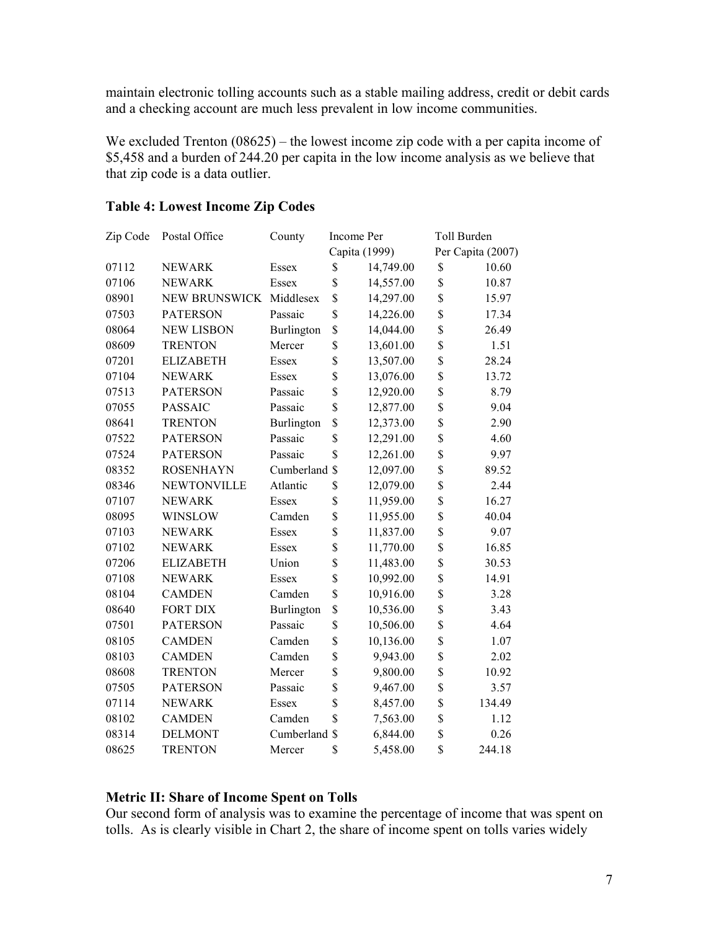maintain electronic tolling accounts such as a stable mailing address, credit or debit cards and a checking account are much less prevalent in low income communities.

We excluded Trenton (08625) – the lowest income zip code with a per capita income of \$5,458 and a burden of 244.20 per capita in the low income analysis as we believe that that zip code is a data outlier.

| Zip Code | Postal Office           | County        | Income Per              |               | Toll Burden |                   |
|----------|-------------------------|---------------|-------------------------|---------------|-------------|-------------------|
|          |                         |               |                         | Capita (1999) |             | Per Capita (2007) |
| 07112    | <b>NEWARK</b>           | Essex         | \$                      | 14,749.00     | \$          | 10.60             |
| 07106    | <b>NEWARK</b>           | Essex         | \$                      | 14,557.00     | \$          | 10.87             |
| 08901    | NEW BRUNSWICK Middlesex |               | \$                      | 14,297.00     | \$          | 15.97             |
| 07503    | <b>PATERSON</b>         | Passaic       | \$                      | 14,226.00     | \$          | 17.34             |
| 08064    | <b>NEW LISBON</b>       | Burlington    | \$                      | 14,044.00     | \$          | 26.49             |
| 08609    | <b>TRENTON</b>          | Mercer        | \$                      | 13,601.00     | \$          | 1.51              |
| 07201    | <b>ELIZABETH</b>        | Essex         | \$                      | 13,507.00     | \$          | 28.24             |
| 07104    | <b>NEWARK</b>           | Essex         | \$                      | 13,076.00     | \$          | 13.72             |
| 07513    | <b>PATERSON</b>         | Passaic       | \$                      | 12,920.00     | \$          | 8.79              |
| 07055    | <b>PASSAIC</b>          | Passaic       | \$                      | 12,877.00     | \$          | 9.04              |
| 08641    | <b>TRENTON</b>          | Burlington    | \$                      | 12,373.00     | \$          | 2.90              |
| 07522    | <b>PATERSON</b>         | Passaic       | \$                      | 12,291.00     | \$          | 4.60              |
| 07524    | <b>PATERSON</b>         | Passaic       | $\mathbf{\hat{S}}$      | 12,261.00     | \$          | 9.97              |
| 08352    | <b>ROSENHAYN</b>        | Cumberland    | $\mathbf S$             | 12,097.00     | \$          | 89.52             |
| 08346    | <b>NEWTONVILLE</b>      | Atlantic      | \$                      | 12,079.00     | \$          | 2.44              |
| 07107    | <b>NEWARK</b>           | Essex         | \$                      | 11,959.00     | \$          | 16.27             |
| 08095    | <b>WINSLOW</b>          | Camden        | \$                      | 11,955.00     | \$          | 40.04             |
| 07103    | <b>NEWARK</b>           | Essex         | \$                      | 11,837.00     | \$          | 9.07              |
| 07102    | <b>NEWARK</b>           | Essex         | \$                      | 11,770.00     | \$          | 16.85             |
| 07206    | <b>ELIZABETH</b>        | Union         | \$                      | 11,483.00     | \$          | 30.53             |
| 07108    | <b>NEWARK</b>           | Essex         | \$                      | 10,992.00     | \$          | 14.91             |
| 08104    | <b>CAMDEN</b>           | Camden        | \$                      | 10,916.00     | \$          | 3.28              |
| 08640    | <b>FORT DIX</b>         | Burlington    | \$                      | 10,536.00     | \$          | 3.43              |
| 07501    | <b>PATERSON</b>         | Passaic       | \$                      | 10,506.00     | \$          | 4.64              |
| 08105    | <b>CAMDEN</b>           | Camden        | \$                      | 10,136.00     | \$          | 1.07              |
| 08103    | <b>CAMDEN</b>           | Camden        | \$                      | 9,943.00      | \$          | 2.02              |
| 08608    | <b>TRENTON</b>          | Mercer        | \$                      | 9,800.00      | \$          | 10.92             |
| 07505    | <b>PATERSON</b>         | Passaic       | \$                      | 9,467.00      | \$          | 3.57              |
| 07114    | <b>NEWARK</b>           | Essex         | \$                      | 8,457.00      | \$          | 134.49            |
| 08102    | <b>CAMDEN</b>           | Camden        | $\overline{\mathbb{S}}$ | 7,563.00      | \$          | 1.12              |
| 08314    | <b>DELMONT</b>          | Cumberland \$ |                         | 6,844.00      | \$          | 0.26              |
| 08625    | <b>TRENTON</b>          | Mercer        | \$                      | 5,458.00      | \$          | 244.18            |

## Table 4: Lowest Income Zip Codes

#### Metric II: Share of Income Spent on Tolls

Our second form of analysis was to examine the percentage of income that was spent on tolls. As is clearly visible in Chart 2, the share of income spent on tolls varies widely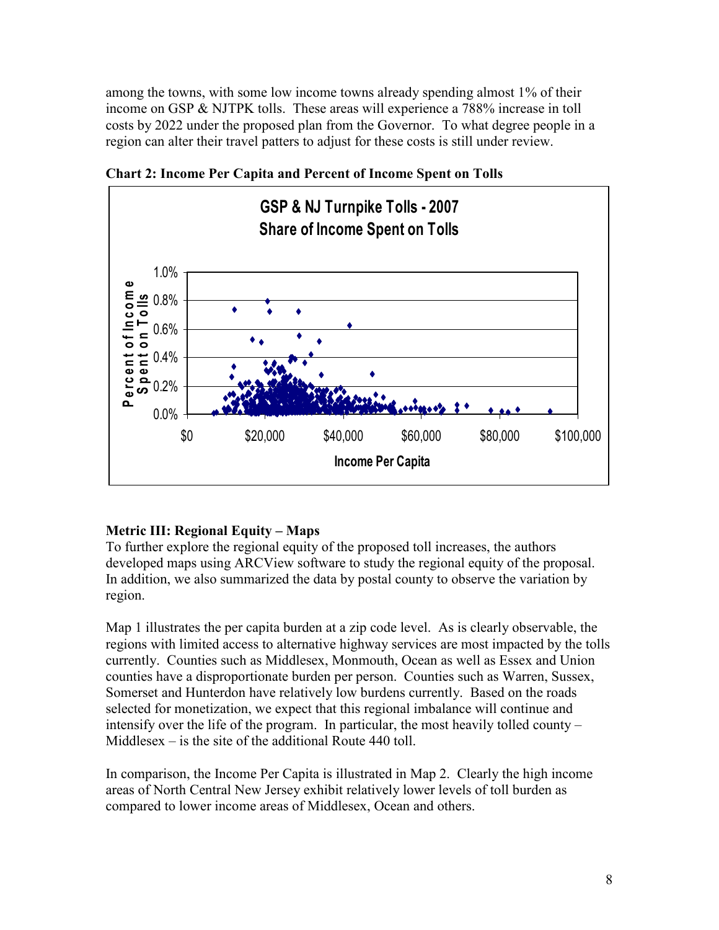among the towns, with some low income towns already spending almost 1% of their income on GSP & NJTPK tolls. These areas will experience a 788% increase in toll costs by 2022 under the proposed plan from the Governor. To what degree people in a region can alter their travel patters to adjust for these costs is still under review.



Chart 2: Income Per Capita and Percent of Income Spent on Tolls

# Metric III: Regional Equity – Maps

To further explore the regional equity of the proposed toll increases, the authors developed maps using ARCView software to study the regional equity of the proposal. In addition, we also summarized the data by postal county to observe the variation by region.

Map 1 illustrates the per capita burden at a zip code level. As is clearly observable, the regions with limited access to alternative highway services are most impacted by the tolls currently. Counties such as Middlesex, Monmouth, Ocean as well as Essex and Union counties have a disproportionate burden per person. Counties such as Warren, Sussex, Somerset and Hunterdon have relatively low burdens currently. Based on the roads selected for monetization, we expect that this regional imbalance will continue and intensify over the life of the program. In particular, the most heavily tolled county – Middlesex – is the site of the additional Route 440 toll.

In comparison, the Income Per Capita is illustrated in Map 2. Clearly the high income areas of North Central New Jersey exhibit relatively lower levels of toll burden as compared to lower income areas of Middlesex, Ocean and others.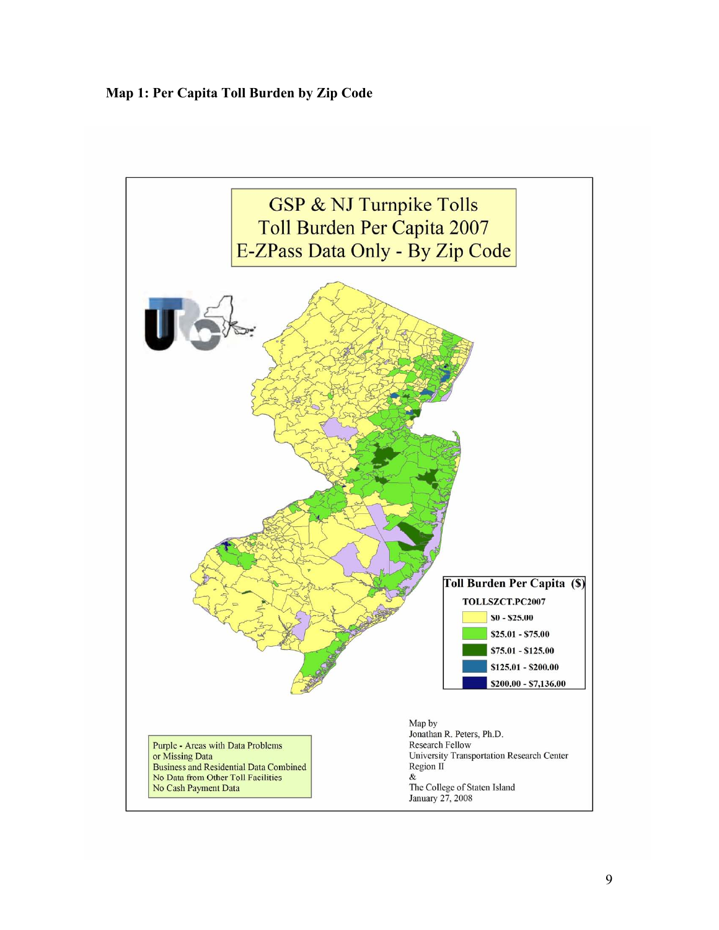Map 1: Per Capita Toll Burden by Zip Code

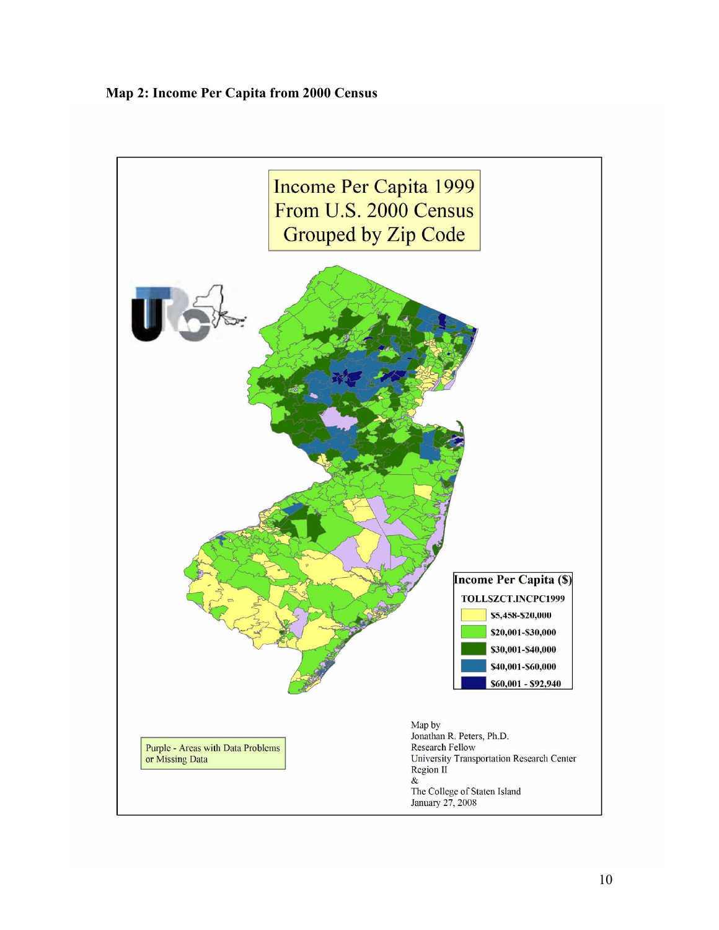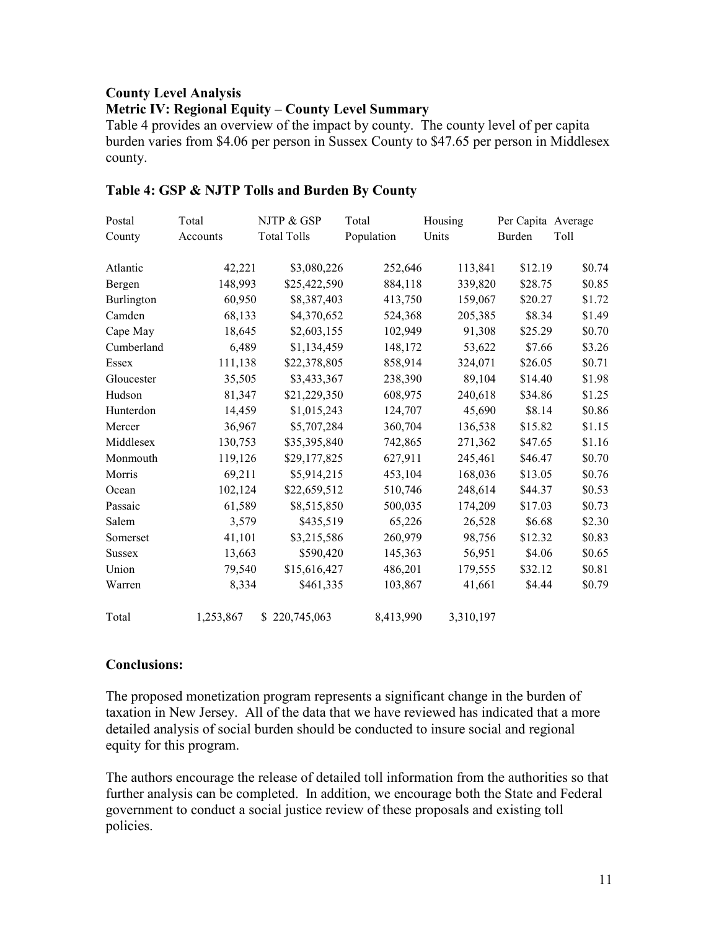## County Level Analysis

## Metric IV: Regional Equity – County Level Summary

Table 4 provides an overview of the impact by county. The county level of per capita burden varies from \$4.06 per person in Sussex County to \$47.65 per person in Middlesex county.

| Postal        | Total     | NJTP & GSP         | Total      | Housing   | Per Capita Average |        |
|---------------|-----------|--------------------|------------|-----------|--------------------|--------|
| County        | Accounts  | <b>Total Tolls</b> | Population | Units     | Burden             | Toll   |
| Atlantic      | 42,221    | \$3,080,226        | 252,646    | 113,841   | \$12.19            | \$0.74 |
| Bergen        | 148,993   | \$25,422,590       | 884,118    | 339,820   | \$28.75            | \$0.85 |
| Burlington    | 60,950    | \$8,387,403        | 413,750    | 159,067   | \$20.27            | \$1.72 |
| Camden        | 68,133    | \$4,370,652        | 524,368    | 205,385   | \$8.34             | \$1.49 |
| Cape May      | 18,645    | \$2,603,155        | 102,949    | 91,308    | \$25.29            | \$0.70 |
| Cumberland    | 6,489     | \$1,134,459        | 148,172    | 53,622    | \$7.66             | \$3.26 |
| Essex         | 111,138   | \$22,378,805       | 858,914    | 324,071   | \$26.05            | \$0.71 |
| Gloucester    | 35,505    | \$3,433,367        | 238,390    | 89,104    | \$14.40            | \$1.98 |
| Hudson        | 81,347    | \$21,229,350       | 608,975    | 240,618   | \$34.86            | \$1.25 |
| Hunterdon     | 14,459    | \$1,015,243        | 124,707    | 45,690    | \$8.14             | \$0.86 |
| Mercer        | 36,967    | \$5,707,284        | 360,704    | 136,538   | \$15.82            | \$1.15 |
| Middlesex     | 130,753   | \$35,395,840       | 742,865    | 271,362   | \$47.65            | \$1.16 |
| Monmouth      | 119,126   | \$29,177,825       | 627,911    | 245,461   | \$46.47            | \$0.70 |
| Morris        | 69,211    | \$5,914,215        | 453,104    | 168,036   | \$13.05            | \$0.76 |
| Ocean         | 102,124   | \$22,659,512       | 510,746    | 248,614   | \$44.37            | \$0.53 |
| Passaic       | 61,589    | \$8,515,850        | 500,035    | 174,209   | \$17.03            | \$0.73 |
| Salem         | 3,579     | \$435,519          | 65,226     | 26,528    | \$6.68             | \$2.30 |
| Somerset      | 41,101    | \$3,215,586        | 260,979    | 98,756    | \$12.32            | \$0.83 |
| <b>Sussex</b> | 13,663    | \$590,420          | 145,363    | 56,951    | \$4.06             | \$0.65 |
| Union         | 79,540    | \$15,616,427       | 486,201    | 179,555   | \$32.12            | \$0.81 |
| Warren        | 8,334     | \$461,335          | 103,867    | 41,661    | \$4.44             | \$0.79 |
| Total         | 1,253,867 | \$220,745,063      | 8,413,990  | 3,310,197 |                    |        |

## Table 4: GSP & NJTP Tolls and Burden By County

#### Conclusions:

The proposed monetization program represents a significant change in the burden of taxation in New Jersey. All of the data that we have reviewed has indicated that a more detailed analysis of social burden should be conducted to insure social and regional equity for this program.

The authors encourage the release of detailed toll information from the authorities so that further analysis can be completed. In addition, we encourage both the State and Federal government to conduct a social justice review of these proposals and existing toll policies.